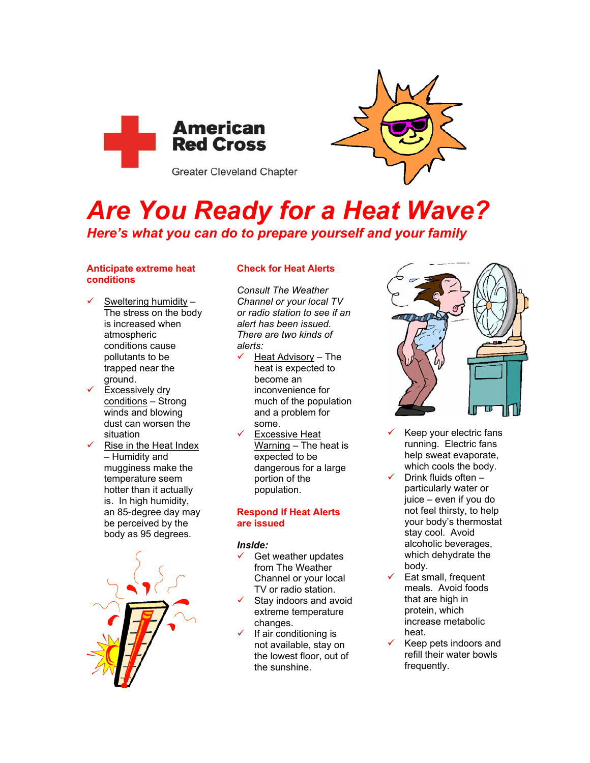



# *Are You Ready for a Heat Wave? Here's what you can do to prepare yourself and your family*

## **Anticipate extreme heat conditions**

- $\checkmark$  Sweltering humidity The stress on the body is increased when atmospheric conditions cause pollutants to be trapped near the ground.
- $\checkmark$  Excessively dry conditions – Strong winds and blowing dust can worsen the situation
- Rise in the Heat Index – Humidity and mugginess make the temperature seem hotter than it actually is. In high humidity, an 85-degree day may be perceived by the body as 95 degrees.



# **Check for Heat Alerts**

*Consult The Weather Channel or your local TV or radio station to see if an alert has been issued. There are two kinds of alerts:* 

- Heat Advisory The heat is expected to become an inconvenience for much of the population and a problem for some.
- **Excessive Heat** Warning – The heat is expected to be dangerous for a large portion of the population.

### **Respond if Heat Alerts are issued**

# *Inside:*

- Get weather updates from The Weather Channel or your local TV or radio station.
- Stay indoors and avoid extreme temperature changes.
- If air conditioning is not available, stay on the lowest floor, out of the sunshine.



- Keep your electric fans running. Electric fans help sweat evaporate, which cools the body.
- Drink fluids often particularly water or juice – even if you do not feel thirsty, to help your body's thermostat stay cool. Avoid alcoholic beverages, which dehydrate the body.
- Eat small, frequent meals. Avoid foods that are high in protein, which increase metabolic heat.
- Keep pets indoors and refill their water bowls frequently.